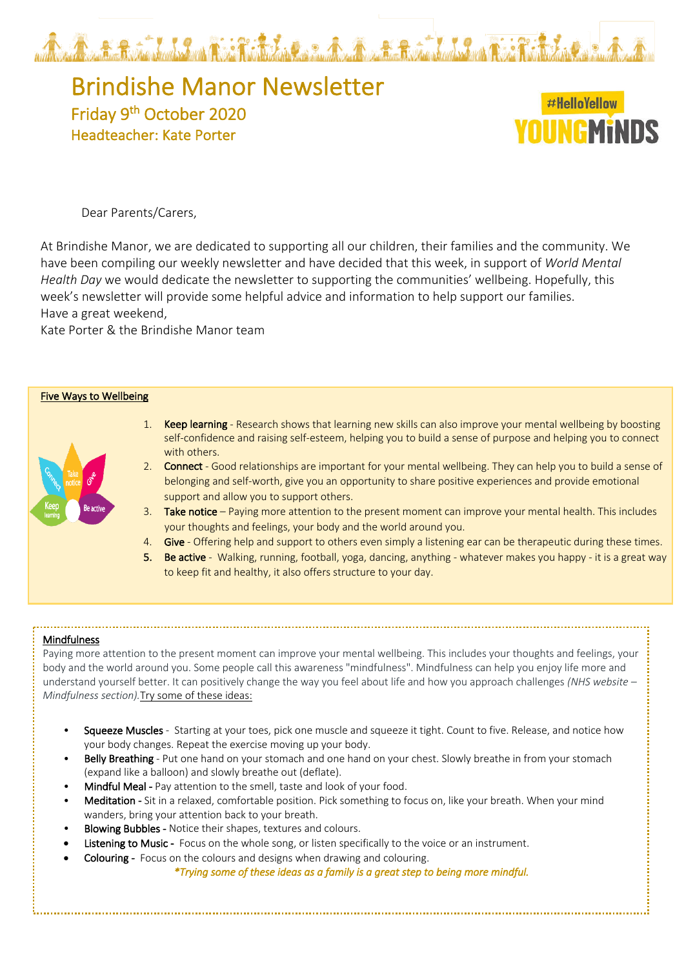

# Brindishe Manor Newsletter<br>Friday 9<sup>th</sup> October 2020 Headteacher: Kate Porter

## #HelloYellow NIINGMINNS

Dear Parents/Carers,

At Brindishe Manor, we are dedicated to supporting all our children, their families and the community. We have been compiling our weekly newsletter and have decided that this week, in support of *World Mental Health Day* we would dedicate the newsletter to supporting the communities' wellbeing. Hopefully, this week's newsletter will provide some helpful advice and information to help support our families. Have a great weekend,

Kate Porter & the Brindishe Manor team



#### **Mindfulness**

Paying more attention to the present moment can improve your mental wellbeing. This includes your thoughts and feelings, your body and the world around you. Some people call this awareness "mindfulness". Mindfulness can help you enjoy life more and understand yourself better. It can positively change the way you feel about life and how you approach challenges *(NHS website – Mindfulness section).*Try some of these ideas:

- Squeeze Muscles Starting at your toes, pick one muscle and squeeze it tight. Count to five. Release, and notice how your body changes. Repeat the exercise moving up your body.
- Belly Breathing Put one hand on your stomach and one hand on your chest. Slowly breathe in from your stomach (expand like a balloon) and slowly breathe out (deflate).
- Mindful Meal Pay attention to the smell, taste and look of your food.
- Meditation Sit in a relaxed, comfortable position. Pick something to focus on, like your breath. When your mind wanders, bring your attention back to your breath.
- **Blowing Bubbles Notice their shapes, textures and colours.**
- Listening to Music Focus on the whole song, or listen specifically to the voice or an instrument.
- **Colouring -** Focus on the colours and designs when drawing and colouring.

*\*Trying some of these ideas as a family is a great step to being more mindful.*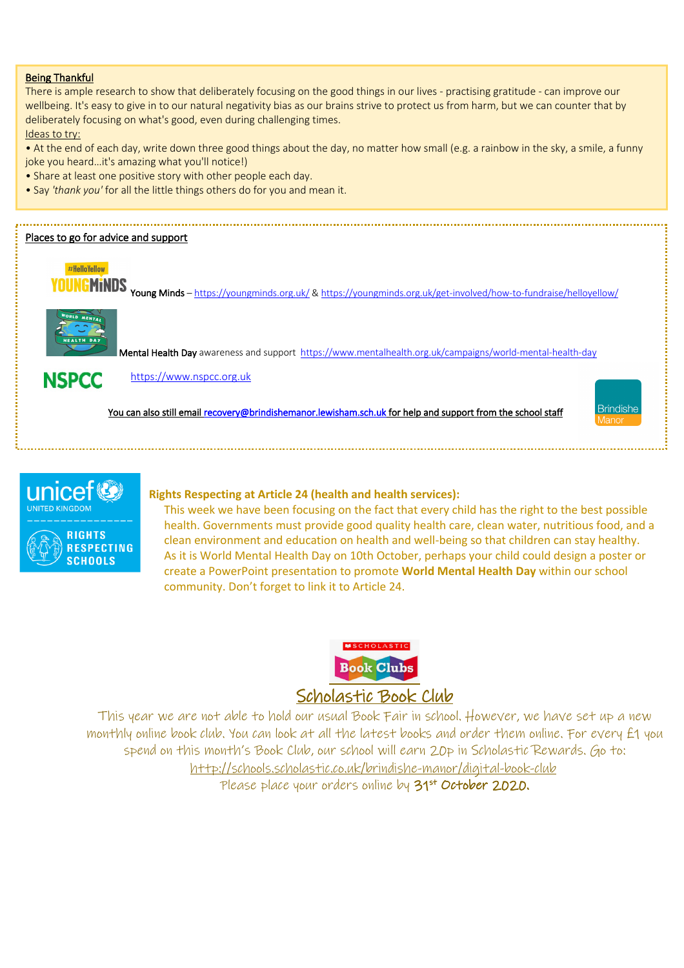#### Being Thankful

There is ample research to show that deliberately focusing on the good things in our lives - practising gratitude - can improve our wellbeing. It's easy to give in to our natural negativity bias as our brains strive to protect us from harm, but we can counter that by deliberately focusing on what's good, even during challenging times.

Ideas to try:

• At the end of each day, write down three good things about the day, no matter how small (e.g. a rainbow in the sky, a smile, a funny joke you heard…it's amazing what you'll notice!)

- Share at least one positive story with other people each day.
- Say *'thank you'* for all the little things others do for you and mean it.

#### Places to go for advice and support





Mental Health Day awareness and support https://www.mentalhealth.org.uk/campaigns/world-mental-health-day

NSPCC https://www.nspcc.org.uk

You can also still email recovery@brindishemanor.lewisham.sch.uk for help and support from the school staff





### **Rights Respecting at Article 24 (health and health services):**

This week we have been focusing on the fact that every child has the right to the best possible health. Governments must provide good quality health care, clean water, nutritious food, and a clean environment and education on health and well-being so that children can stay healthy. As it is World Mental Health Day on 10th October, perhaps your child could design a poster or create a PowerPoint presentation to promote **World Mental Health Day** within our school community. Don't forget to link it to Article 24.



This year we are not able to hold our usual Book Fair in school. However, we have set up a new monthly online book club. You can look at all the latest books and order them online. For every £1 you spend on this month's Book Club, our school will earn 20p in Scholastic Rewards. Go to: http://schools.scholastic.co.uk/brindishe-manor/digital-book-club Please place your orders online by 31<sup>st</sup> October 2020.